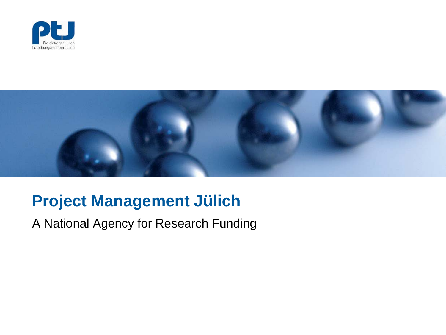



### **Project Management Jülich**

A National Agency for Research Funding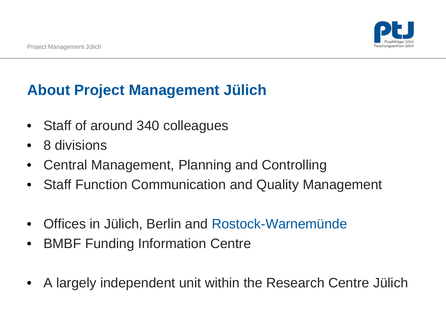## **About Project Management Jülich**

- Staff of around 340 colleagues
- 8 divisions
- Central Management, Planning and Controlling
- Staff Function Communication and Quality Management
- Offices in Jülich, Berlin and Rostock-Warnemünde
- BMBF Funding Information Centre
- A largely independent unit within the Research Centre Jülich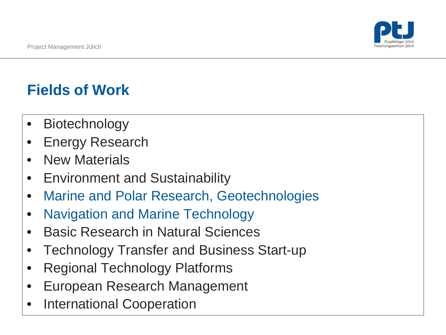# **Fields of Work**

- Biotechnology
- Energy Research
- New Materials
- Environment and Sustainability
- Marine and Polar Research, Geotechnologies
- Navigation and Marine Technology
- Basic Research in Natural Sciences
- Technology Transfer and Business Start-up
- Regional Technology Platforms
- European Research Management
- International Cooperation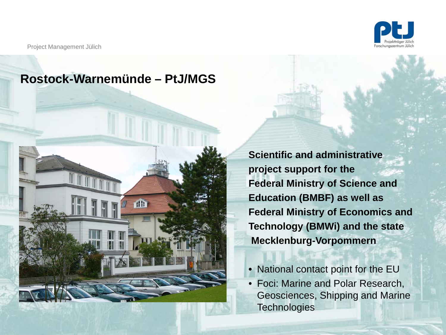

Project Management Jülich

#### **Rostock-Warnemünde – PtJ/MGS**



**Scientific and administrative project support for the Federal Ministry of Science and Education (BMBF) as well as Federal Ministry of Economics and Technology (BMWi) and the state Mecklenburg-Vorpommern**

- **•** National contact point for the EU
- Foci: Marine and Polar Research, Geosciences, Shipping and Marine **Technologies**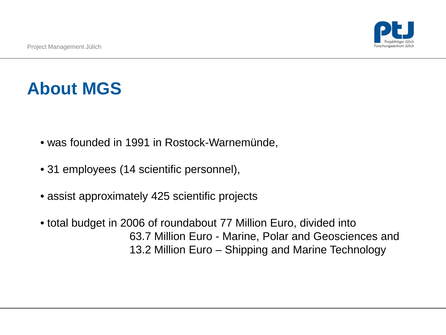# **About MGS**

- was founded in 1991 in Rostock-Warnemünde,
- 31 employees (14 scientific personnel),
- assist approximately 425 scientific projects
- total budget in 2006 of roundabout 77 Million Euro, divided into 63.7 Million Euro - Marine, Polar and Geosciences and 13.2 Million Euro – Shipping and Marine Technology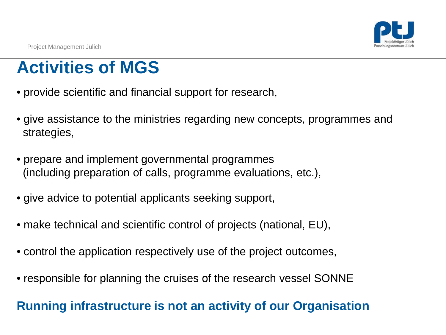# **Activities of MGS**

- provide scientific and financial support for research,
- give assistance to the ministries regarding new concepts, programmes and strategies,
- prepare and implement governmental programmes (including preparation of calls, programme evaluations, etc.),
- give advice to potential applicants seeking support,
- make technical and scientific control of projects (national, EU),
- control the application respectively use of the project outcomes,
- responsible for planning the cruises of the research vessel SONNE

#### **Running infrastructure is not an activity of our Organisation**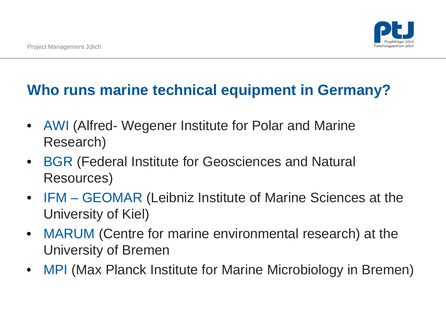

#### **Who runs marine technical equipment in Germany?**

- AWI (Alfred- Wegener Institute for Polar and Marine Research)
- BGR (Federal Institute for Geosciences and Natural Resources)
- IFM GEOMAR (Leibniz Institute of Marine Sciences at the University of Kiel)
- MARUM (Centre for marine environmental research) at the University of Bremen
- MPI (Max Planck Institute for Marine Microbiology in Bremen)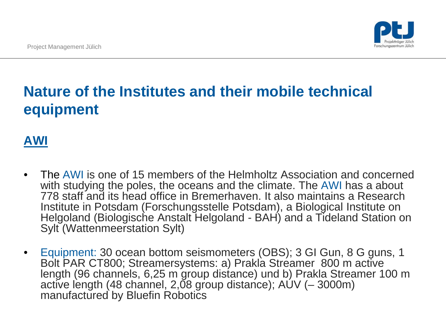

## **Nature of the Institutes and their mobile technical equipment**

#### **AWI**

- The AWI is one of 15 members of the Helmholtz Association and concerned with studying the poles, the oceans and the climate. The AWI has a about 778 staff and its head office in Bremerhaven. It also maintains a Research Institute in Potsdam (Forschungsstelle Potsdam), a Biological Institute on Helgoland (Biologische Anstalt Helgoland - BAH) and a Tideland Station on Sylt (Wattenmeerstation Sylt)
- Equipment: 30 ocean bottom seismometers (OBS); 3 GI Gun, 8 G guns, 1 Bolt PAR CT800; Streamersystems: a) Prakla Streamer 800 m active length (96 channels, 6,25 m group distance) und b) Prakla Streamer 100 m active length (48 channel, 2,08 group distance); AUV (– 3000m) manufactured by Bluefin Robotics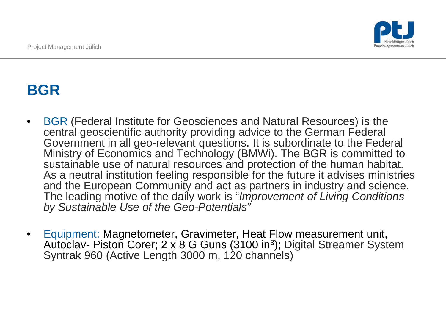

## **BGR**

- BGR (Federal Institute for Geosciences and Natural Resources) is the central geoscientific authority providing advice to the German Federal Government in all geo-relevant questions. It is subordinate to the Federal Ministry of Economics and Technology (BMWi). The BGR is committed to sustainable use of natural resources and protection of the human habitat. As a neutral institution feeling responsible for the future it advises ministries and the European Community and act as partners in industry and science. The leading motive of the daily work is "*Improvement of Living Conditions by Sustainable Use of the Geo-Potentials"*
- Equipment: Magnetometer, Gravimeter, Heat Flow measurement unit, Autoclav- Piston Corer; 2 x 8 G Guns (3100 in3); Digital Streamer System Syntrak 960 (Active Length 3000 m, 120 channels)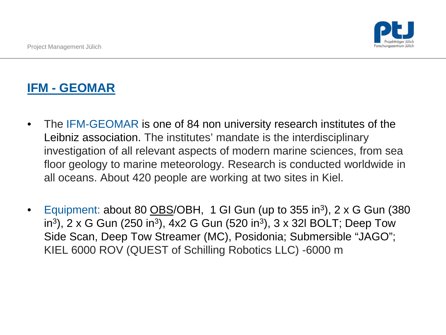#### **IFM - GEOMAR**

- The IFM-GEOMAR is one of 84 non university research institutes of the Leibniz association. The institutes' mandate is the interdisciplinary investigation of all relevant aspects of modern marine sciences, from sea floor geology to marine meteorology. Research is conducted worldwide in all oceans. About 420 people are working at two sites in Kiel.
- Equipment: about 80 OBS/OBH, 1 GI Gun (up to 355 in<sup>3</sup>), 2 x G Gun (380 in<sup>3</sup>), 2 x G Gun (250 in<sup>3</sup>), 4x2 G Gun (520 in<sup>3</sup>), 3 x 32l BOLT; Deep Tow Side Scan, Deep Tow Streamer (MC), Posidonia; Submersible "JAGO"; KIEL 6000 ROV (QUEST of Schilling Robotics LLC) -6000 m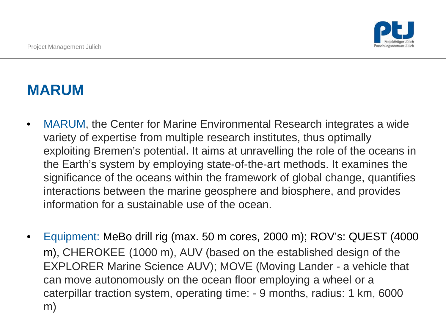

## **MARUM**

- MARUM, the Center for Marine Environmental Research integrates a wide variety of expertise from multiple research institutes, thus optimally exploiting Bremen's potential. It aims at unravelling the role of the oceans in the Earth's system by employing state-of-the-art methods. It examines the significance of the oceans within the framework of global change, quantifies interactions between the marine geosphere and biosphere, and provides information for a sustainable use of the ocean.
- Equipment: MeBo drill rig (max. 50 m cores, 2000 m); ROV's: QUEST (4000 m), CHEROKEE (1000 m), AUV (based on the established design of the EXPLORER Marine Science AUV); MOVE (Moving Lander - a vehicle that can move autonomously on the ocean floor employing a wheel or a caterpillar traction system, operating time: - 9 months, radius: 1 km, 6000 m)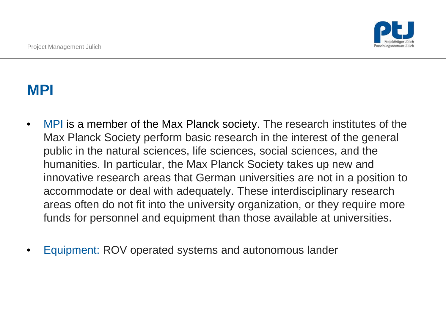

#### **MPI**

- MPI is a member of the Max Planck society. The research institutes of the Max Planck Society perform basic research in the interest of the general public in the natural sciences, life sciences, social sciences, and the humanities. In particular, the Max Planck Society takes up new and innovative research areas that German universities are not in a position to accommodate or deal with adequately. These interdisciplinary research areas often do not fit into the university organization, or they require more funds for personnel and equipment than those available at universities.
- Equipment: ROV operated systems and autonomous lander